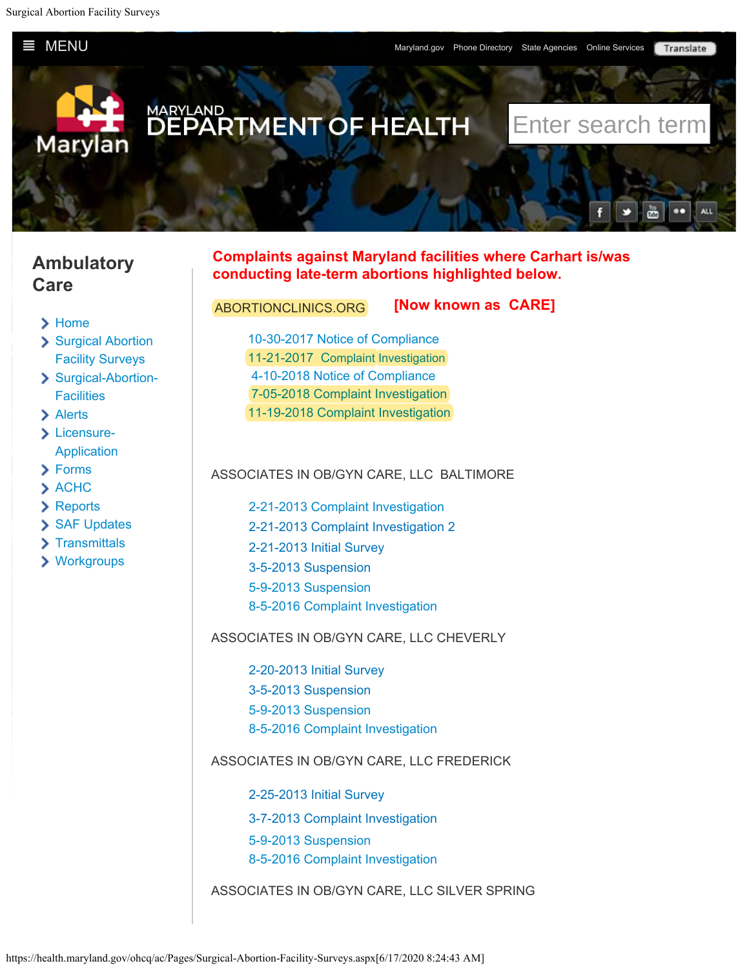<span id="page-0-0"></span>**E** [MENU](#page-0-0) [Maryland.gov Phone Directory State Agencies Online Services](#page-0-0)

Translate



# **Ambulatory Care**

- > [Home](http://health.maryland.gov/ohcq/ac/Pages/home.aspx)
- [Surgical Abortion](#page-0-0) [Facility Surveys](#page-0-0)
- [Surgical-Abortion-](https://health.maryland.gov/ohcq/ac/Pages/Surgical-Abortion-Facilities.aspx)**[Facilities](https://health.maryland.gov/ohcq/ac/Pages/Surgical-Abortion-Facilities.aspx)**
- > [Alerts](https://health.maryland.gov/ohcq/ac/Pages/Alerts.aspx)
- > [Licensure-](https://health.maryland.gov/ohcq/ac/Pages/Licensure-Application.aspx)[Application](https://health.maryland.gov/ohcq/ac/Pages/Licensure-Application.aspx)
- [Forms](https://health.maryland.gov/ohcq/ac/Pages/Forms.aspx)
- > [ACHC](https://health.maryland.gov/ohcq/ac/Pages/ACHC.aspx)
- [Reports](https://health.maryland.gov/ohcq/ac/Pages/Reports.aspx)
- [SAF Updates](https://health.maryland.gov/ohcq/ac/Pages/SAF-Updates.aspx)
- > [Transmittals](https://health.maryland.gov/ohcq/ac/Pages/Transmittals.aspx)
- [Workgroups](https://health.maryland.gov/ohcq/ac/Pages/Workgroups.aspx)

### **Complaints against Maryland facilities where Carhart is/was conducting late-term abortions highlighted below.**

## ABORTIONCLINICS.ORG [10-30-2017 Notice of Compliance](https://health.maryland.gov/ohcq/ac/SurgAbortFac_Surveys/AbortionClinics.Org%20initial%20licensure%20survey%2010%202017.pdf) [11-21-2017 Complaint Investigation](https://health.maryland.gov/ohcq/ac/Documents/Abortionclinics_Org_Survey_findings_%2011_21_17.pdf) [4-10-2018 Notice of Compliance](https://health.maryland.gov/ohcq/ac/Documents/AbortionClinics.Org_Notice_of_Complance_4.10.18.pdf) [7-05-2018 Complaint Investigation](https://health.maryland.gov/ohcq/ac/SurgAbortFac_Surveys/abortionclinics.org%207%205%2018%20-%20Final.pdf) **[Now known as CARE]**

[11-19-2018 Complaint Investigation](https://health.maryland.gov/ohcq/ac/SurgAbortFac_Surveys/abortionclinics.org%2011%2019%2018%20(1)%20-%20Final.pdf)

#### ASSOCIATES IN OB/GYN CARE, LLC BALTIMORE

[2-21-2013 Complaint Investigation](https://health.maryland.gov/ohcq/ac/SurgAbortFac_Surveys/Associates%20in%20OB%20GYN%20Baltimore,%20Complaint,%202%2021%202013.pdf) [2-21-2013 Complaint Investigation 2](https://health.maryland.gov/ohcq/ac/SurgAbortFac_Surveys/Associates%20in%20OB%20GYN%20Baltimore,%20Complaint%202,%202%2021%202013.pdf) [2-21-2013 Initial Survey](https://health.maryland.gov/ohcq/ac/SurgAbortFac_Surveys/Associates%20in%20OB%20GYN%20Baltimore,%20Initial%20Survey,%202%2021%202013.pdf) [3-5-2013 Suspension](https://health.maryland.gov/ohcq/ac/SurgAbortFac_Surveys/Associates%20in%20OB%20GYN%20Baltimore,%20Suspension,%203%205%202013.pdf) [5-9-2013 Suspension](https://health.maryland.gov/ohcq/ac/SurgAbortFac_Surveys/Associates%20in%20OB%20GYN%20Baltimore,%20Suspension,%205%209%202013.pdf) [8-5-2016 Complaint Investigation](https://health.maryland.gov/ohcq/ac/SurgAbortFac_Surveys/8-5-2016%20Complaint%20Investigation.pdf)

#### ASSOCIATES IN OB/GYN CARE, LLC CHEVERLY

[2-20-2013 Initial Survey](https://health.maryland.gov/ohcq/ac/SurgAbortFac_Surveys/Associates%20in%20OB%20GYN%20Landover,%20Initial%20Survey,%202%2020%202013.pdf) [3-5-2013 Suspension](https://health.maryland.gov/ohcq/ac/SurgAbortFac_Surveys/Associates%20in%20OB%20GYN%20Landover,%20Suspension,%203%205%202013.pdf) [5-9-2013 Suspension](https://health.maryland.gov/ohcq/ac/SurgAbortFac_Surveys/Associates%20in%20OB%20GYN%20Landover,%20Suspension,%205%209%202013.pdf) [8-5-2016 Complaint Investigation](https://health.maryland.gov/ohcq/ac/SurgAbortFac_Surveys/8%205%202016%20investigation%20cheverly%20site.pdf)

#### ASSOCIATES IN OB/GYN CARE, LLC FREDERICK

- [2-25-2013 Initial Survey](https://health.maryland.gov/ohcq/ac/SurgAbortFac_Surveys/Associates%20in%20OB%20GYN%20Frederick,%20Initial%20Survey,%202%2025%202013.pdf)
- [3-7-2013 Complaint Investigation](https://health.maryland.gov/ohcq/ac/SurgAbortFac_Surveys/Associates%20in%20OB%20GYN%20Frederick,%20Complaint,%203%207%202013.pdf)
- [5-9-2013 Suspension](https://health.maryland.gov/ohcq/ac/SurgAbortFac_Surveys/Associates%20in%20OB%20GYN%20Frederick,%20Suspension,%205%209%202013.pdf)
- [8-5-2016 Complaint Investigation](https://health.maryland.gov/ohcq/ac/SurgAbortFac_Surveys/8%205%202016%20investigation%20frederick%20site.pdf)
- ASSOCIATES IN OB/GYN CARE, LLC SILVER SPRING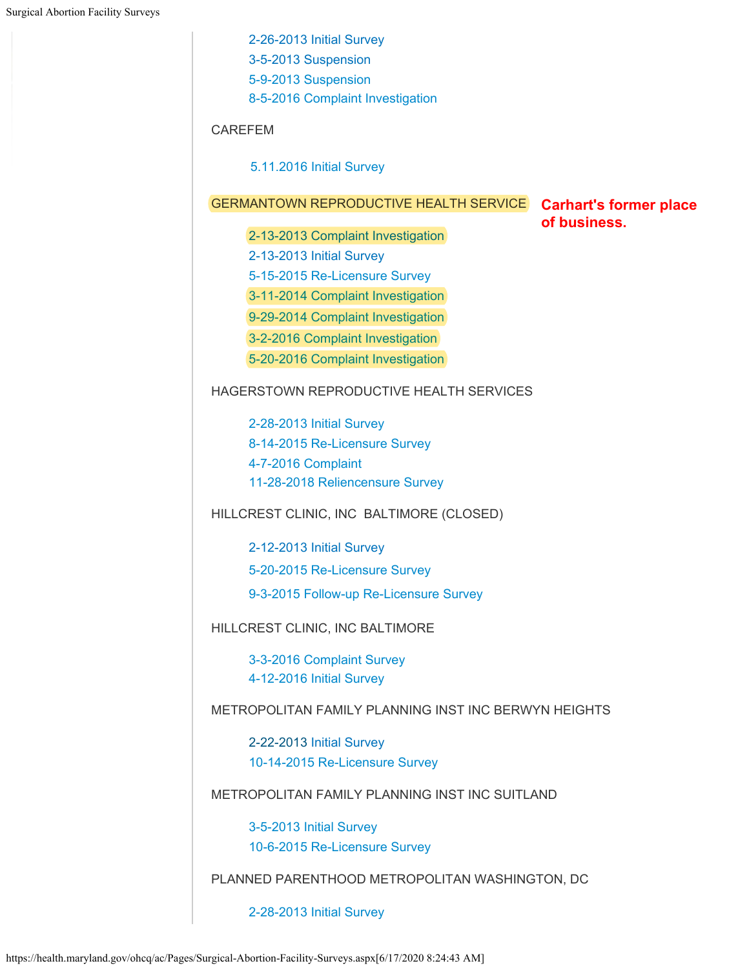[2-26-2013 Initial Survey](https://health.maryland.gov/ohcq/ac/SurgAbortFac_Surveys/Associates%20in%20OB%20GYN%20Silver%20Spring,%20Initial%20Survey,%202%2026%202013.pdf) [3-5-2013 Suspension](https://health.maryland.gov/ohcq/ac/SurgAbortFac_Surveys/Associates%20in%20OB%20GYN%20Silver%20Spring,%20Suspension,%203%205%202013.pdf) [5-9-2013 Suspension](https://health.maryland.gov/ohcq/ac/SurgAbortFac_Surveys/Associates%20in%20OB%20GYN%20Landover,%20Suspension,%205%209%202013.pdf) [8-5-2016 Complaint Investigation](https://health.maryland.gov/ohcq/ac/SurgAbortFac_Surveys/8%205%202016%20investigation%20silver%20spring%20site.pdf) CAREFEM [5.11.2016 Initial Survey](https://health.maryland.gov/ohcq/ac/docs/Carefem%205%2011%2016%20initial.pdf) GERMANTOWN REPRODUCTIVE HEALTH SERVICE **Carhart's former place** 2-13-2013 [Complaint Investigation](https://health.maryland.gov/ohcq/ac/SurgAbortFac_Surveys/Germantown%20Reproductive,%20Complaint,%202%2013%202013.pdf) [2-13-2013](https://health.maryland.gov/ohcq/ac/SurgAbortFac_Surveys/Germantown%20Reproductive,%20Complaint,%202%2013%202013.pdf) [Initial Survey](https://health.maryland.gov/ohcq/ac/SurgAbortFac_Surveys/Germantown%20Reproductive,%20Complaint,%202%2013%202013.pdf) [5-15-2015 Re-Licensure Survey](https://health.maryland.gov/ohcq/ac/docs/Germantown%205%2011%2015%20complaint.pdf) [3-11-2014 Complaint Investigation](https://health.maryland.gov/ohcq/ac/Documents/ACP%20Germantown%20Reproductive%20Health%20Services%2003_11_14%20L3.pdf) [9-29-2014 Complaint Investigation](https://health.maryland.gov/ohcq/ac/Documents/ACP%20Germantown%20Reproductive%20Health%20Services%2009_29_14%20L3.pdf) [3-2-2016 Complaint Investigation](https://health.maryland.gov/ohcq/ac/Documents/ACP%20Germantown%20Reproductive%20Health%20Services%2003_02_16%20L3.pdf) [5-20-2016 Complaint Investigation](https://health.maryland.gov/ohcq/ac/Documents/ACP%20Germantown%20Reproductive%20Health%20Services%2005_20_16%20L3_Redacted.pdf) HAGERSTOWN REPRODUCTIVE HEALTH SERVICES [2-28-2013 Initial Survey](https://health.maryland.gov/ohcq/ac/SurgAbortFac_Surveys/Hagerstown%20Reproductive%20Health,%20Initial%20Survey,%202%2028%202013.pdf) [8-14-2015 Re-Licensure Survey](https://health.maryland.gov/ohcq/ac/Documents/ACP%20Hagerstown%20Reproductive%20Health%20Services%2008_14_15%20L3_Redacted.pdf) [4-7-2016 Complaint](https://health.maryland.gov/ohcq/ac/SurgAbortFac_Surveys/potomac%20family%20planning%20ctr%204%207%202016.pdf) [11-28-2018 Reliencensure Survey](https://health.maryland.gov/ohcq/ac/SurgAbortFac_Surveys/Hagerstown%20Reproductive%20Health%208%209%2018-Redacted%20-%20Final.pdf) HILLCREST CLINIC, INC BALTIMORE (CLOSED) [2-12-2013](https://health.maryland.gov/ohcq/ac/SurgAbortFac_Surveys/Hillcrest%20Clinic,%20Initial%20Survey,%202%2012%202013.pdf) [Initial Survey](https://health.maryland.gov/ohcq/ac/SurgAbortFac_Surveys/Hillcrest%20Clinic,%20Initial%20Survey,%202%2012%202013.pdf) [5-20-2015 Re-Licensure Survey](https://health.maryland.gov/ohcq/ac/Documents/ACP%20Hillcrest%20Clinic%2005_20_15%20L3.pdf) 9-3-2015 Follow-up [Re-Licensure Survey](https://health.maryland.gov/ohcq/ac/Documents/ACP%20Hillcrest%20Clinic%2009_03_15%20L3.pdf) HILLCREST CLINIC, INC BALTIMORE [3-3-2016 Complaint Survey](https://health.maryland.gov/ohcq/ac/SurgAbortFac_Surveys/Hillcrest_Clinic_3.11.16.pdf) [4-12-2016 Initial Survey](https://health.maryland.gov/ohcq/ac/Documents/ACP%20Hillcrest%20Clinic%2004_12_16%20L3.pdf) METROPOLITAN FAMILY PLANNING INST INC BERWYN HEIGHTS [2-22-2013](https://health.maryland.gov/ohcq/ac/SurgAbortFac_Surveys/Metropolitan%20Family%20Planning%20Berwyn%20Heights,%20Initial%20Survey,%202%2022%202013.pdf) [Initial Survey](https://health.maryland.gov/ohcq/ac/SurgAbortFac_Surveys/Metropolitan%20Family%20Planning%20Berwyn%20Heights,%20Initial%20Survey,%202%2022%202013.pdf) [10-14-2015 Re-Licensure Survey](https://health.maryland.gov/ohcq/ac/Documents/ACP%20Metropolitan%20Family%20Planning%20Institute%2010_14_15.pdf) METROPOLITAN FAMILY PLANNING INST INC SUITLAND [3-5-2013 Initial Survey](https://health.maryland.gov/ohcq/ac/SurgAbortFac_Surveys/Metropolitan%20Family%20Planning%20Suitland,%20Initial%20Survey,%203%205%202013.pdf) [10-6-2015 Re-Licensure Survey](https://health.maryland.gov/ohcq/ac/Documents/ACP%20Metropolitan%20Family%20Planning%20Institute%2010_06_15%20L3_Redacted.pdf)

**of business.**

PLANNED PARENTHOOD METROPOLITAN WASHINGTON, DC

[2-28-2013 Initial Survey](https://health.maryland.gov/ohcq/ac/SurgAbortFac_Surveys/Planned%20Parenthood%20Metropolitan%20Wash,%20Initial%20Survey,%202%2028%202013.pdf)